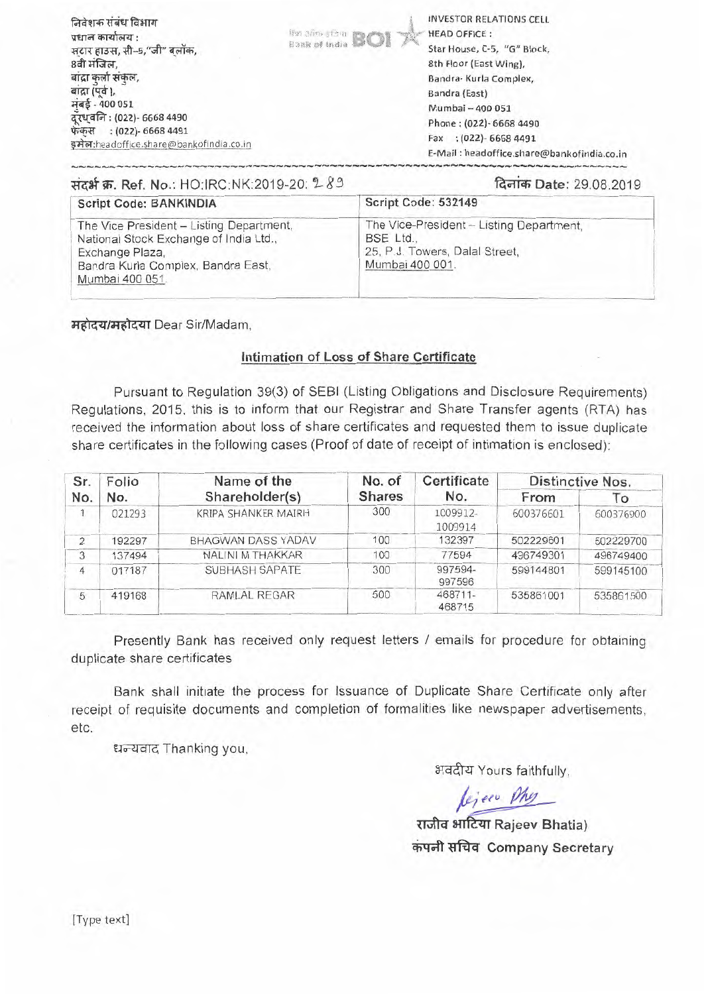| निवेशक संबंध विभाग<br>प्रधान कार्यालय :<br>सटार हाउस, सी-5,"जी" बलॉक,<br>8वी मंजिल,<br>बाद्रा कर्ला संकल,<br>बाद्रा (पूर्व),<br>मुंबई - 400 051<br>दूरध्वनिः (022)- 6668 4490<br>फेंकस : (022)- 6668 4491<br>इमेल:headoffice.share@bankofindia.co.in | <b>Hon 3mp (Sm) R</b> | INVESTOR RELATIONS CELL<br><b>HEAD OFFICE:</b><br>Star House, C-5, "G" Block,<br>8th Floor (East Wing),<br>Bandra- Kurla Complex,<br>Bandra (East)<br>Mumbai - 400 051<br>Phone: (022) - 6668 4490<br>Fax : (022) - 6668 4491 |
|------------------------------------------------------------------------------------------------------------------------------------------------------------------------------------------------------------------------------------------------------|-----------------------|-------------------------------------------------------------------------------------------------------------------------------------------------------------------------------------------------------------------------------|
|                                                                                                                                                                                                                                                      |                       | E-Mail: headoffice.share@bankofindia.co.in                                                                                                                                                                                    |

| संदर्भ क्र. Ref. No.: HO:IRC:NK:2019-20: 289                                                                                                                   | दिनांक Date: 29.08.2019                                                                                    |  |  |
|----------------------------------------------------------------------------------------------------------------------------------------------------------------|------------------------------------------------------------------------------------------------------------|--|--|
| <b>Script Code: BANKINDIA</b>                                                                                                                                  | Script Code: 532149                                                                                        |  |  |
| The Vice President - Listing Department,<br>National Stock Exchange of India Ltd.,<br>Exchange Plaza,<br>Bandra Kurla Complex, Bandra East,<br>Mumbai 400 051. | The Vice-President - Listing Department,<br>BSE Ltd.,<br>25, P.J. Towers, Dalal Street,<br>Mumbai 400 001. |  |  |

**महोदय/महोदया Dear Sir/Madam,** 

### **Intimation of Loss of Share Certificate**

Pursuant to Regulation 39(3) of SEBI (Listing Obligations and Disclosure Requirements) Regulations, 2015, this is to inform that our Registrar and Share Transfer agents (RTA) has received the information about loss of share certificates and requested them to issue duplicate share certificates in the following cases (Proof of date of receipt of intimation is enclosed):

| Sr.<br>No.     | Folio<br>No. | Name of the<br>Shareholder(s) | No. of<br><b>Shares</b> | Certificate<br>No.  | Distinctive Nos. |           |
|----------------|--------------|-------------------------------|-------------------------|---------------------|------------------|-----------|
|                |              |                               |                         |                     | From             | To        |
|                | 021293       | KRIPA SHANKER MAIRH           | 300                     | 1009912-<br>1009914 | 600376601        | 600376900 |
| $\overline{2}$ | 192297       | BHAGWAN DASS YADAV            | 100                     | 132397              | 502229601        | 502229700 |
| 3              | 137494       | NALINI M THAKKAR              | 100                     | 77594               | 496749301        | 496749400 |
| 4              | 017187       | SUBHASH SAPATE                | 300                     | 997594-<br>997596   | 599144801        | 599145100 |
| 5              | 419168       | RAMLAL REGAR                  | 500                     | 468711-<br>468715   | 535861001        | 535861500 |

Presently Bank has received only request letters / emails for procedure for obtaining duplicate share certificates

Bank shall initiate the process for Issuance of Duplicate Share Certificate only after receipt of requisite documents and completion of formalities like newspaper advertisements, etc.

धन्यवाद Thanking you,

अवदीय Yours faithfully,

fejeco Phy

**SiTitzfr Rajeev Bhatia) .1 a Company Secretary** 

[Type text]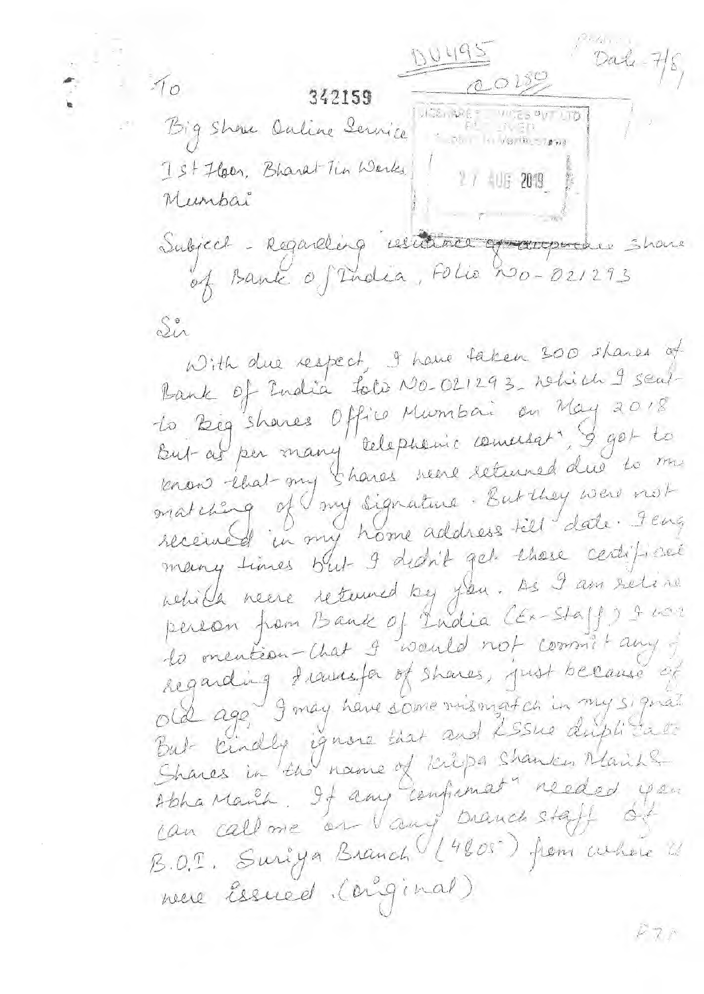$Data - 7/8$  $0.495$  $0.0159$  $10$ 342159 WES ARE WES AVES TO Big Show Outine Service Ist Hear, Bharat Tin Werks 2 / 403 2019 Munbai Subject - Regarding resultance of augustus share<br>of Bank of India, Folio No-021293 Sir

With due respect, I have taken 300 shares of Bank of India toto No-021293, which I sent to Big shares Office Mumbai on May 2018 But af per many 'telephonic comersat", I got to know that my shares were returned due to me matching of my signature. But they were not received in my home address till date. Jeng many times but I dedn't get these centificate rehile neere returned by you. As I am retire person from Bank of India CEX-Staff) & nor la mention-chat 9 wanted not commit any regarding frances of shares, just because of old age 9 may have some mismatch in my signal But kindly ignore that and LSSne driptitate Shares in the name of krispa shanker Mails Abha Manih. If any confirmat" reeded you can callone en Vany branch staff de B.O.T. Suriya Branch (14805) from where is nueve Essued (anginal)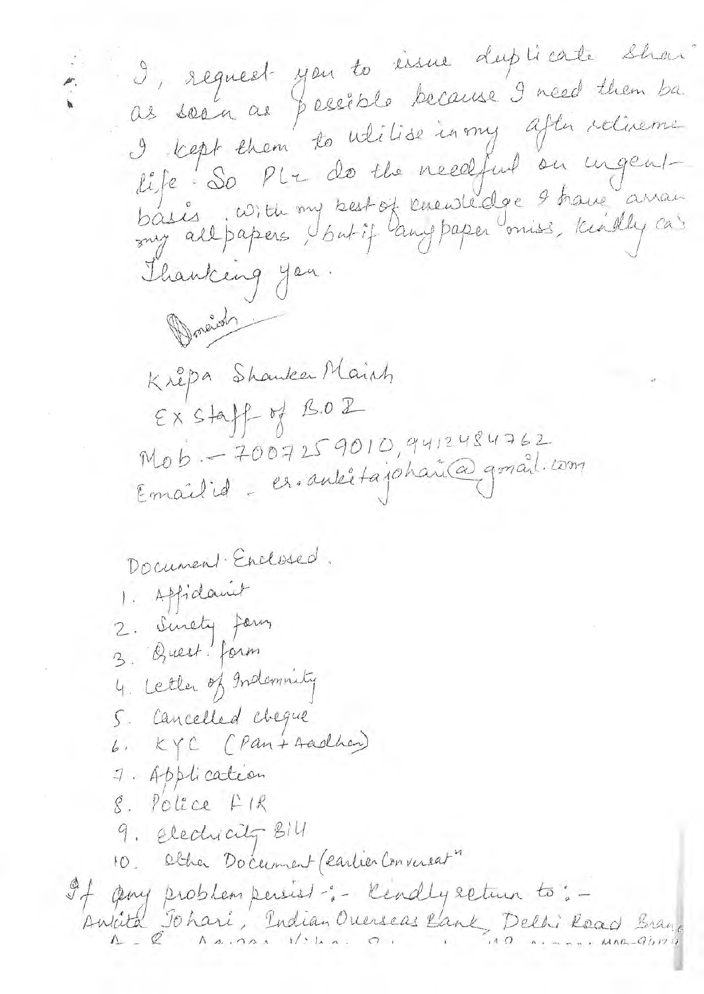J, request you to issue duplicate shar as soon as pessible because I need them ba I kept them to ulilise in my after relixement life : So PL + de the needful on ingent-<br>basis : With my best of knewledge 9 have arran<br>my all papers / but if langpaper oniss, knadly cas Thanking you. Doneid Kripa Shanker Maint  $EXSH\n  $\rightarrow$  B.02$ Mob - 7007259010, 9412484762<br>Email id - es. autétajohari@gonail.com Document Enclosed. 1. Affidamet 2. Sinety Jan 3. Quest! form 4. Letter of Indomnity 5. Cancelled cheque 6. KYC (Pan+Aadher) 7. Application 8. Police FIR 4. Electricity Bill 10. Other Document (cartier Conversat"

I ging problem persist :- lendly seturn to: -Ankita Johari, Indian Orerseas Bank, Delhi Road Branc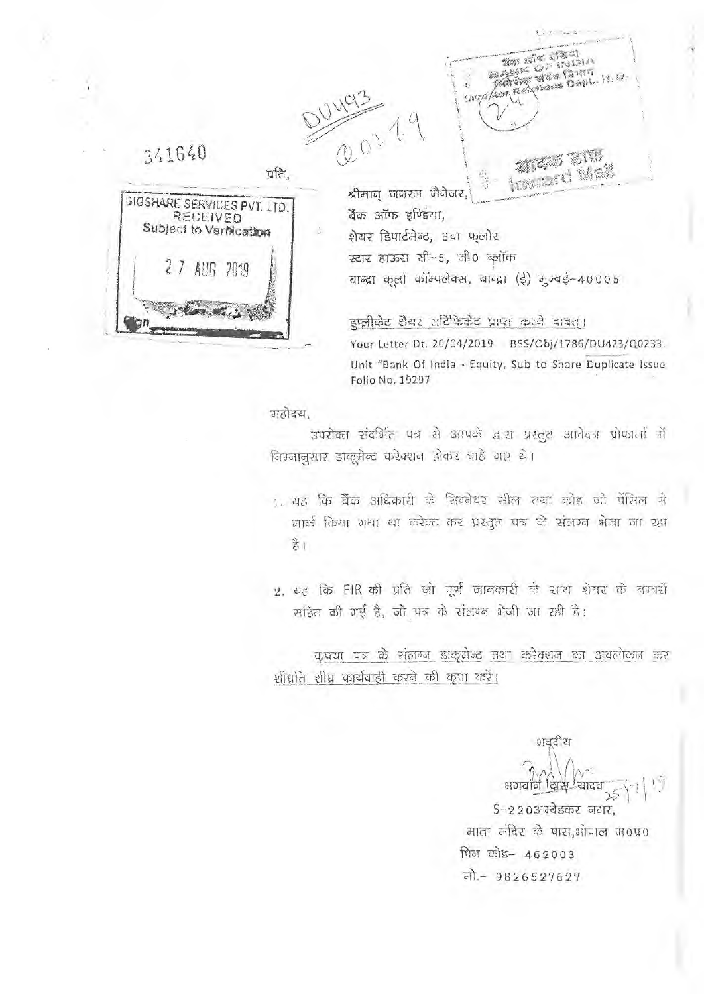341640 प्रति. **SIGSHARE SERVICES PVT. LTD.** RECEIVED Subject to VerMcation  $77$ **AUG 2019** 

DUNCIS<br>CO21.9 taks with travard Mai श्रीमान जनरल मैनेजर, बैंक ऑफ इण्डिया, शेयर डिपार्टमेन्ट, 8वा फलोर स्टार हाऊस सी-5, जी0 ब्लॉक बाद्धा कूर्ला कॉम्पलेक्स, बाब्द्रा (ई) मुम्बई-40005

 $8.09/4$ 

Sen Ald

ARTING WEST FROM from Relysseem Bepty 19, 12

**BANK OI** 

 $(2311)$ 

इप्लीकेट शैयर सर्विफिकेट प्राप्त करने बाबत्। Your Letter Dt. 20/04/2019 BSS/Obj/1786/DU423/Q0233. Unit "Bank Of India - Equity, Sub to Share Duplicate Issue Folio No. 19297

#### महोदय,

उपरोक्त संदर्भित पत्र से आपके द्वारा प्रस्तुत आवेदन प्रोफार्मा में वित्रजानूसार डाकूमेन्ट करेक्शन होकर चाहे गए थे।

- 1. यह कि बैंक अधिकारी के सिम्बेयर सील तथा कोड जो पेंसिल से मार्क किया गया था करेक्ट कर प्रस्तुत पत्र के संलग्न भेजा जा रक्षा है।
- 2, यह कि FIR की प्रति जो पूर्ण जानकारी के साथ शेयर के बम्बरों सहित की गई है, जो पत्र के संतक्ष्त भेजी जा रही है।

कृपया पत्र के संलग्न डाकूमेन्ट तथा करेक्शन का अवलोकन कर शीघ्रति शीघ्र कार्यवाही करने की कृपा करें।

भगवाने विस S-22031रबेडकर नगर, माता मंदिर के पास,ओपाल म0प्र0 पिन कोड- 462003 मो. - 9826527627

भवदीय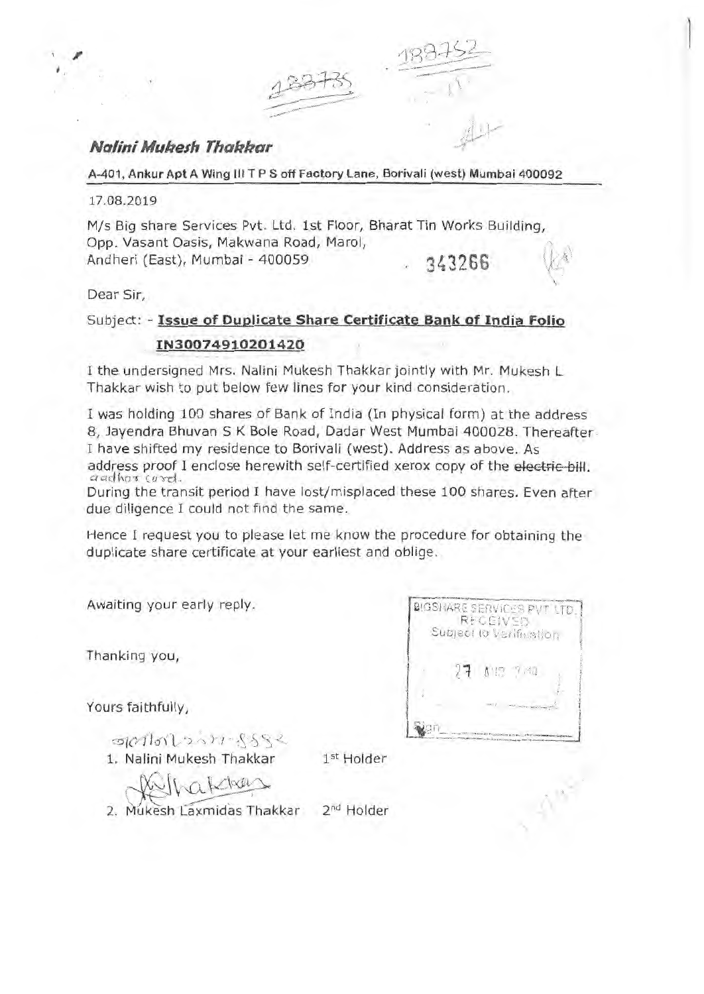

### **Nalini Mukesh Thakkar**

**A-401, Ankur Apt A Wing Ill T P S off Factory Lane, Borivali (west) Mumbai 400092** 

17.08.2019

M/s Big share Services Pvt. Ltd. 1st Floor, Bharat Tin Works Building, Opp. Vasant Oasis, Makwana Road, Marol, Andheri (East), Mumbai - 400059 343266

Dear Sir,

## Subject: - **Issue of Duplicate Share Certificate Bank of India Folio IN30074910201420**

I the undersigned Mrs. Nalini Mukesh Thakkar jointly with Mr. Mukesh L Thakkar wish to put below few lines for your kind consideration.

I was holding 100 shares of Bank of India (In physical form) at the address 8, Jayendra Bhuvan S K Bole Road, Dadar West Mumbai 400028. Thereafter I have shifted my residence to Borivali (west). Address as above. As I have shifted my residence to Borivali (west). Address as above. As address proof I enclose herewith self-certified xerox copy of the electric bill. aadhar curd. duaress proof I enclose herewith sen-centried xerox copy of the electric bill.<br>and have transit period I have lost/misplaced these 100 shares. Even after

due diligence I could not find the same.<br>due diligence I could not find the same. due diligence I could not find the same.<br>Hence I request you to please let me know the procedure for obtaining the

duplicate share certificate at your earliest and oblige.

Awaiting your early reply.

Thanking you,

Yours faithfully,

**DIGSHARE SERVICES PVT LTD** Subject to Verifiustion

 $-90101231.5552$ 

1. Nalini Mukesh Thakkar

1<sup>st</sup> Holder

hakters

2. Mukesh Laxmidas Thakkar 2<sup>nd</sup> Holder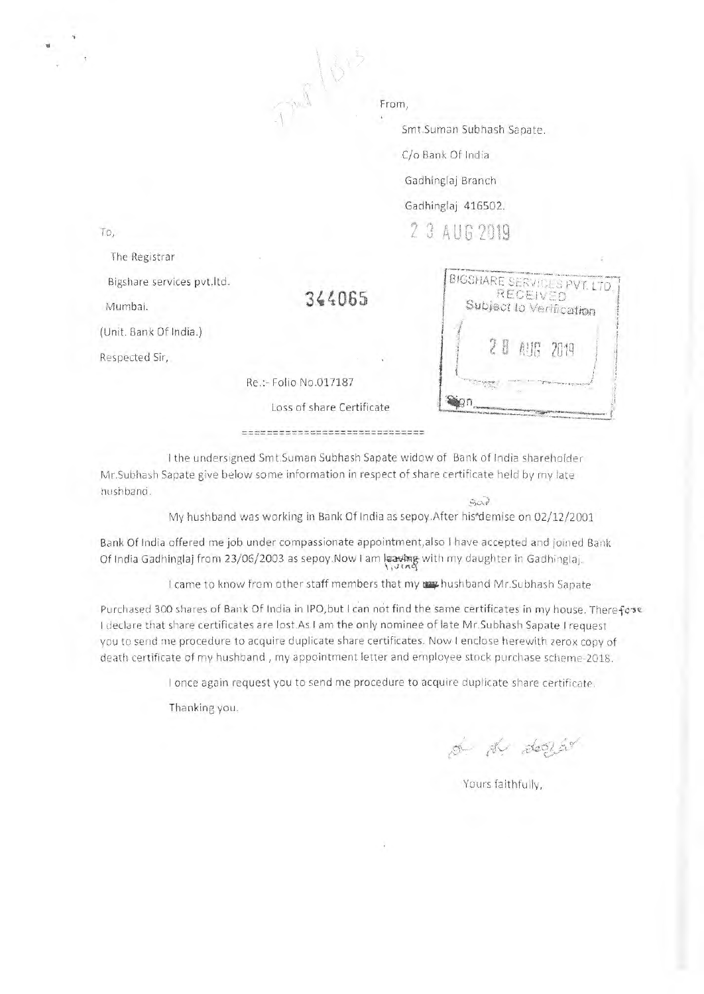That live

From,

Smt.Suman Subhash Sapate.

C/o Bank Of India

Gadhinglaj Branch

Gadhinglaj 416502.

**2 3 AUG 2019** 

To,

The Registrar

Bigshare services pvt.ltd.

Mumbai.

(Unit. Bank Of India.)

Respected Sir,

Re.:- Folio No.017187

Loss of share Certificate

344065

BIGSHARE SERVICES PVT. LTD. **RECEIVED** Subject to Verification  $20.10$ m

===============================

I the undersigned Smt.Suman Subhash Sapate widow of Bank of India shareholder Mr.Subhash Sapate give below some information in respect of share certificate held by my late nushband.  $507$ 

My hushband was working in Bank Of India as sepoy. After his\*demise on 02/12/2001

Bank Of India offered me job under compassionate appointment,also I have accepted and joined Bank Of India Gadhinglaj from 23/06/2003 as sepoy.Now I am leaving with my daughter in Gadhinglaj.

I came to know from other staff members that my may hushband Mr.Subhash Sapate

Purchased 300 shares of Bank Of India in IPO, but I can not find the same certificates in my house. Therefore I declare that share certificates are lost.As I am the only nominee of late Mr.Subhash Sapate I request you to send me procedure to acquire duplicate share certificates. Now I enclose herewith zerox copy of death certificate of my hushband , my appointment letter and employee stock purchase scheme-2018.

I once again request you to send me procedure to acquire duplicate share certificate.

Thanking you.

of the decide

Yours faithfully,